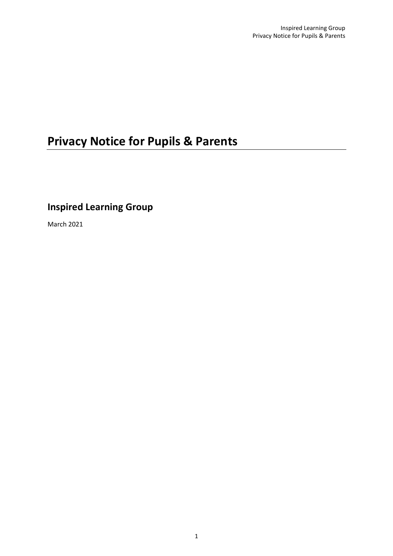# **Privacy Notice for Pupils & Parents**

## **Inspired Learning Group**

March 2021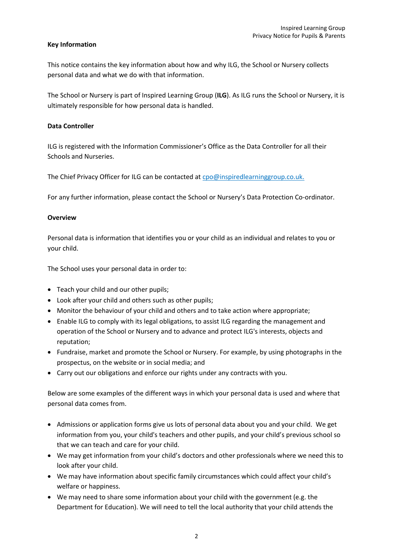#### **Key Information**

This notice contains the key information about how and why ILG, the School or Nursery collects personal data and what we do with that information.

The School or Nursery is part of Inspired Learning Group (**ILG**). As ILG runs the School or Nursery, it is ultimately responsible for how personal data is handled.

#### **Data Controller**

ILG is registered with the Information Commissioner's Office as the Data Controller for all their Schools and Nurseries.

The Chief Privacy Officer for ILG can be contacted at [cpo@inspiredlearninggroup.co.uk.](mailto:cpo@inspiredlearninggroup.co.uk)

For any further information, please contact the School or Nursery's Data Protection Co-ordinator.

#### **Overview**

Personal data is information that identifies you or your child as an individual and relates to you or your child.

The School uses your personal data in order to:

- Teach your child and our other pupils;
- Look after your child and others such as other pupils;
- Monitor the behaviour of your child and others and to take action where appropriate;
- Enable ILG to comply with its legal obligations, to assist ILG regarding the management and operation of the School or Nursery and to advance and protect ILG's interests, objects and reputation;
- Fundraise, market and promote the School or Nursery. For example, by using photographs in the prospectus, on the website or in social media; and
- Carry out our obligations and enforce our rights under any contracts with you.

Below are some examples of the different ways in which your personal data is used and where that personal data comes from.

- Admissions or application forms give us lots of personal data about you and your child. We get information from you, your child's teachers and other pupils, and your child's previous school so that we can teach and care for your child.
- We may get information from your child's doctors and other professionals where we need this to look after your child.
- We may have information about specific family circumstances which could affect your child's welfare or happiness.
- We may need to share some information about your child with the government (e.g. the Department for Education). We will need to tell the local authority that your child attends the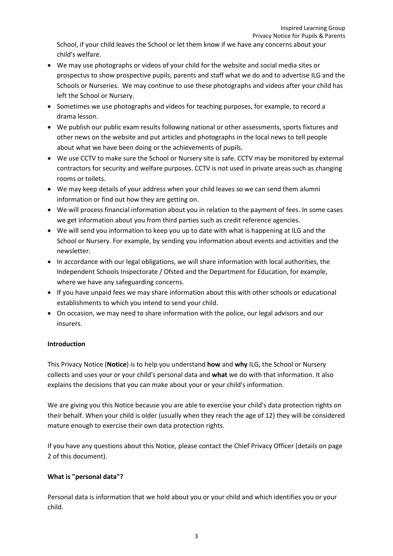School, if your child leaves the School or let them know if we have any concerns about your child's welfare.

- We may use photographs or videos of your child for the website and social media sites or prospectus to show prospective pupils, parents and staff what we do and to advertise ILG and the Schools or Nurseries. We may continue to use these photographs and videos after your child has left the School or Nursery.
- Sometimes we use photographs and videos for teaching purposes, for example, to record a drama lesson.
- We publish our public exam results following national or other assessments, sports fixtures and other news on the website and put articles and photographs in the local news to tell people about what we have been doing or the achievements of pupils.
- We use CCTV to make sure the School or Nursery site is safe. CCTV may be monitored by external contractors for security and welfare purposes. CCTV is not used in private areas such as changing rooms or toilets.
- We may keep details of your address when your child leaves so we can send them alumni information or find out how they are getting on.
- We will process financial information about you in relation to the payment of fees. In some cases we get information about you from third parties such as credit reference agencies.
- We will send you information to keep you up to date with what is happening at ILG and the School or Nursery. For example, by sending you information about events and activities and the newsletter.
- In accordance with our legal obligations, we will share information with local authorities, the Independent Schools Inspectorate / Ofsted and the Department for Education, for example, where we have any safeguarding concerns.
- If you have unpaid fees we may share information about this with other schools or educational establishments to which you intend to send your child.
- On occasion, we may need to share information with the police, our legal advisors and our insurers.

### **Introduction**

This Privacy Notice (**Notice**) is to help you understand **how** and **why** ILG, the School or Nursery collects and uses your or your child's personal data and **what** we do with that information. It also explains the decisions that you can make about your or your child's information.

We are giving you this Notice because you are able to exercise your child's data protection rights on their behalf. When your child is older (usually when they reach the age of 12) they will be considered mature enough to exercise their own data protection rights.

If you have any questions about this Notice, please contact the Chief Privacy Officer (details on page 2 of this document).

#### **What is "personal data"?**

Personal data is information that we hold about you or your child and which identifies you or your child.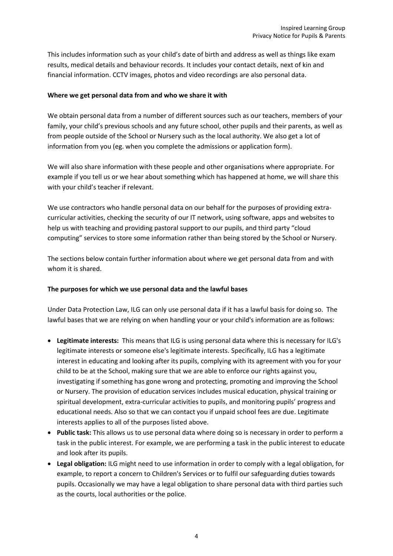This includes information such as your child's date of birth and address as well as things like exam results, medical details and behaviour records. It includes your contact details, next of kin and financial information. CCTV images, photos and video recordings are also personal data.

#### **Where we get personal data from and who we share it with**

We obtain personal data from a number of different sources such as our teachers, members of your family, your child's previous schools and any future school, other pupils and their parents, as well as from people outside of the School or Nursery such as the local authority. We also get a lot of information from you (eg. when you complete the admissions or application form).

We will also share information with these people and other organisations where appropriate. For example if you tell us or we hear about something which has happened at home, we will share this with your child's teacher if relevant.

We use contractors who handle personal data on our behalf for the purposes of providing extracurricular activities, checking the security of our IT network, using software, apps and websites to help us with teaching and providing pastoral support to our pupils, and third party "cloud computing" services to store some information rather than being stored by the School or Nursery.

The sections below contain further information about where we get personal data from and with whom it is shared.

#### **The purposes for which we use personal data and the lawful bases**

Under Data Protection Law, ILG can only use personal data if it has a lawful basis for doing so. The lawful bases that we are relying on when handling your or your child's information are as follows:

- **Legitimate interests:** This means that ILG is using personal data where this is necessary for ILG's legitimate interests or someone else's legitimate interests. Specifically, ILG has a legitimate interest in educating and looking after its pupils, complying with its agreement with you for your child to be at the School, making sure that we are able to enforce our rights against you, investigating if something has gone wrong and protecting, promoting and improving the School or Nursery. The provision of education services includes musical education, physical training or spiritual development, extra-curricular activities to pupils, and monitoring pupils' progress and educational needs. Also so that we can contact you if unpaid school fees are due. Legitimate interests applies to all of the purposes listed above.
- **Public task:** This allows us to use personal data where doing so is necessary in order to perform a task in the public interest. For example, we are performing a task in the public interest to educate and look after its pupils.
- **Legal obligation:** ILG might need to use information in order to comply with a legal obligation, for example, to report a concern to Children's Services or to fulfil our safeguarding duties towards pupils. Occasionally we may have a legal obligation to share personal data with third parties such as the courts, local authorities or the police.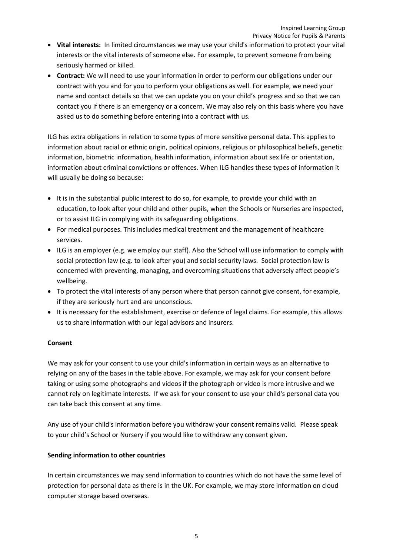- **Vital interests:** In limited circumstances we may use your child's information to protect your vital interests or the vital interests of someone else. For example, to prevent someone from being seriously harmed or killed.
- **Contract:** We will need to use your information in order to perform our obligations under our contract with you and for you to perform your obligations as well. For example, we need your name and contact details so that we can update you on your child's progress and so that we can contact you if there is an emergency or a concern. We may also rely on this basis where you have asked us to do something before entering into a contract with us.

ILG has extra obligations in relation to some types of more sensitive personal data. This applies to information about racial or ethnic origin, political opinions, religious or philosophical beliefs, genetic information, biometric information, health information, information about sex life or orientation, information about criminal convictions or offences. When ILG handles these types of information it will usually be doing so because:

- It is in the substantial public interest to do so, for example, to provide your child with an education, to look after your child and other pupils, when the Schools or Nurseries are inspected, or to assist ILG in complying with its safeguarding obligations.
- For medical purposes. This includes medical treatment and the management of healthcare services.
- ILG is an employer (e.g. we employ our staff). Also the School will use information to comply with social protection law (e.g. to look after you) and social security laws. Social protection law is concerned with preventing, managing, and overcoming situations that adversely affect people's wellbeing.
- To protect the vital interests of any person where that person cannot give consent, for example, if they are seriously hurt and are unconscious.
- It is necessary for the establishment, exercise or defence of legal claims. For example, this allows us to share information with our legal advisors and insurers.

#### **Consent**

We may ask for your consent to use your child's information in certain ways as an alternative to relying on any of the bases in the table above. For example, we may ask for your consent before taking or using some photographs and videos if the photograph or video is more intrusive and we cannot rely on legitimate interests. If we ask for your consent to use your child's personal data you can take back this consent at any time.

Any use of your child's information before you withdraw your consent remains valid. Please speak to your child's School or Nursery if you would like to withdraw any consent given.

#### **Sending information to other countries**

In certain circumstances we may send information to countries which do not have the same level of protection for personal data as there is in the UK. For example, we may store information on cloud computer storage based overseas.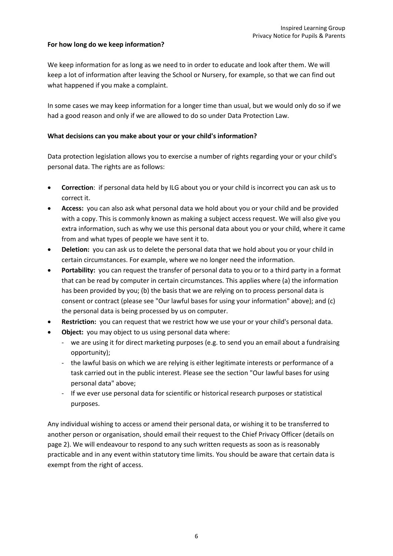#### **For how long do we keep information?**

We keep information for as long as we need to in order to educate and look after them. We will keep a lot of information after leaving the School or Nursery, for example, so that we can find out what happened if you make a complaint.

In some cases we may keep information for a longer time than usual, but we would only do so if we had a good reason and only if we are allowed to do so under Data Protection Law.

#### **What decisions can you make about your or your child's information?**

Data protection legislation allows you to exercise a number of rights regarding your or your child's personal data. The rights are as follows:

- **Correction**: if personal data held by ILG about you or your child is incorrect you can ask us to correct it.
- **Access:** you can also ask what personal data we hold about you or your child and be provided with a copy. This is commonly known as making a subject access request. We will also give you extra information, such as why we use this personal data about you or your child, where it came from and what types of people we have sent it to.
- **Deletion:** you can ask us to delete the personal data that we hold about you or your child in certain circumstances. For example, where we no longer need the information.
- **Portability:** you can request the transfer of personal data to you or to a third party in a format that can be read by computer in certain circumstances. This applies where (a) the information has been provided by you; (b) the basis that we are relying on to process personal data is consent or contract (please see "Our lawful bases for using your information" above); and (c) the personal data is being processed by us on computer.
- **Restriction:** you can request that we restrict how we use your or your child's personal data.
- **Object:** you may object to us using personal data where:
	- we are using it for direct marketing purposes (e.g. to send you an email about a fundraising opportunity);
	- the lawful basis on which we are relying is either legitimate interests or performance of a task carried out in the public interest. Please see the section "Our lawful bases for using personal data" above;
	- If we ever use personal data for scientific or historical research purposes or statistical purposes.

Any individual wishing to access or amend their personal data, or wishing it to be transferred to another person or organisation, should email their request to the Chief Privacy Officer (details on page 2). We will endeavour to respond to any such written requests as soon as is reasonably practicable and in any event within statutory time limits. You should be aware that certain data is exempt from the right of access.